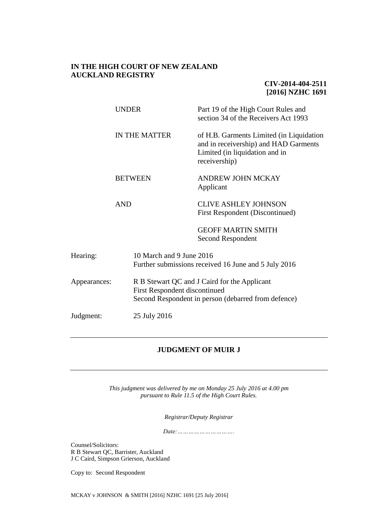## **IN THE HIGH COURT OF NEW ZEALAND AUCKLAND REGISTRY**

# **CIV-2014-404-2511 [2016] NZHC 1691**

|              | <b>UNDER</b>   | Part 19 of the High Court Rules and<br>section 34 of the Receivers Act 1993                                                          |  |
|--------------|----------------|--------------------------------------------------------------------------------------------------------------------------------------|--|
|              | IN THE MATTER  | of H.B. Garments Limited (in Liquidation<br>and in receivership) and HAD Garments<br>Limited (in liquidation and in<br>receivership) |  |
|              | <b>BETWEEN</b> | <b>ANDREW JOHN MCKAY</b><br>Applicant                                                                                                |  |
|              | <b>AND</b>     | <b>CLIVE ASHLEY JOHNSON</b><br><b>First Respondent (Discontinued)</b>                                                                |  |
|              |                | <b>GEOFF MARTIN SMITH</b><br>Second Respondent                                                                                       |  |
| Hearing:     |                | 10 March and 9 June 2016<br>Further submissions received 16 June and 5 July 2016                                                     |  |
| Appearances: |                | R B Stewart QC and J Caird for the Applicant<br>First Respondent discontinued<br>Second Respondent in person (debarred from defence) |  |
| Judgment:    | 25 July 2016   |                                                                                                                                      |  |

# **JUDGMENT OF MUIR J**

*This judgment was delivered by me on Monday 25 July 2016 at 4.00 pm pursuant to Rule 11.5 of the High Court Rules.*

*Registrar/Deputy Registrar*

*Date:………………………….*

Counsel/Solicitors: R B Stewart QC, Barrister, Auckland J C Caird, Simpson Grierson, Auckland

Copy to: Second Respondent

MCKAY v JOHNSON & SMITH [2016] NZHC 1691 [25 July 2016]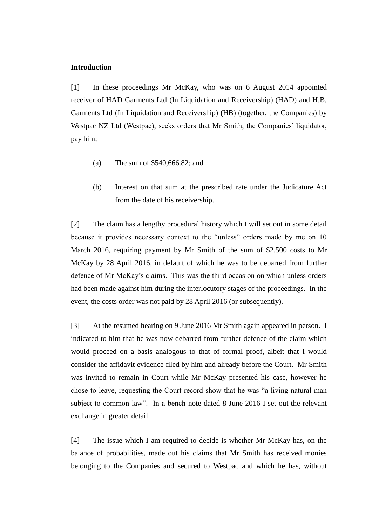## **Introduction**

[1] In these proceedings Mr McKay, who was on 6 August 2014 appointed receiver of HAD Garments Ltd (In Liquidation and Receivership) (HAD) and H.B. Garments Ltd (In Liquidation and Receivership) (HB) (together, the Companies) by Westpac NZ Ltd (Westpac), seeks orders that Mr Smith, the Companies' liquidator, pay him;

- (a) The sum of \$540,666.82; and
- (b) Interest on that sum at the prescribed rate under the Judicature Act from the date of his receivership.

[2] The claim has a lengthy procedural history which I will set out in some detail because it provides necessary context to the "unless" orders made by me on 10 March 2016, requiring payment by Mr Smith of the sum of \$2,500 costs to Mr McKay by 28 April 2016, in default of which he was to be debarred from further defence of Mr McKay's claims. This was the third occasion on which unless orders had been made against him during the interlocutory stages of the proceedings. In the event, the costs order was not paid by 28 April 2016 (or subsequently).

[3] At the resumed hearing on 9 June 2016 Mr Smith again appeared in person. I indicated to him that he was now debarred from further defence of the claim which would proceed on a basis analogous to that of formal proof, albeit that I would consider the affidavit evidence filed by him and already before the Court. Mr Smith was invited to remain in Court while Mr McKay presented his case, however he chose to leave, requesting the Court record show that he was "a living natural man subject to common law". In a bench note dated 8 June 2016 I set out the relevant exchange in greater detail.

[4] The issue which I am required to decide is whether Mr McKay has, on the balance of probabilities, made out his claims that Mr Smith has received monies belonging to the Companies and secured to Westpac and which he has, without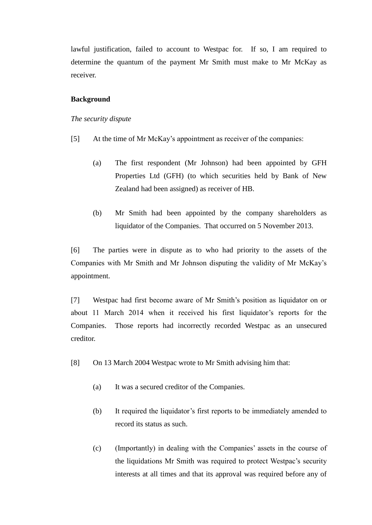lawful justification, failed to account to Westpac for. If so, I am required to determine the quantum of the payment Mr Smith must make to Mr McKay as receiver.

#### **Background**

#### *The security dispute*

- [5] At the time of Mr McKay's appointment as receiver of the companies:
	- (a) The first respondent (Mr Johnson) had been appointed by GFH Properties Ltd (GFH) (to which securities held by Bank of New Zealand had been assigned) as receiver of HB.
	- (b) Mr Smith had been appointed by the company shareholders as liquidator of the Companies. That occurred on 5 November 2013.

[6] The parties were in dispute as to who had priority to the assets of the Companies with Mr Smith and Mr Johnson disputing the validity of Mr McKay's appointment.

[7] Westpac had first become aware of Mr Smith's position as liquidator on or about 11 March 2014 when it received his first liquidator's reports for the Companies. Those reports had incorrectly recorded Westpac as an unsecured creditor.

- [8] On 13 March 2004 Westpac wrote to Mr Smith advising him that:
	- (a) It was a secured creditor of the Companies.
	- (b) It required the liquidator's first reports to be immediately amended to record its status as such.
	- (c) (Importantly) in dealing with the Companies' assets in the course of the liquidations Mr Smith was required to protect Westpac's security interests at all times and that its approval was required before any of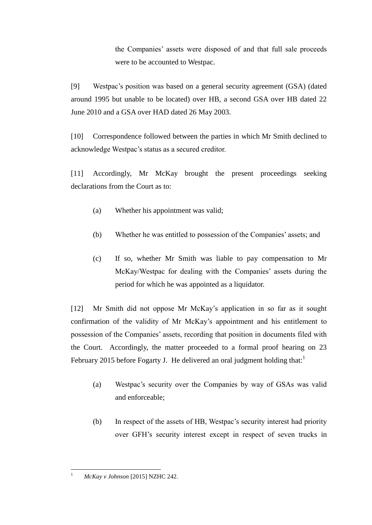the Companies' assets were disposed of and that full sale proceeds were to be accounted to Westpac.

[9] Westpac's position was based on a general security agreement (GSA) (dated around 1995 but unable to be located) over HB, a second GSA over HB dated 22 June 2010 and a GSA over HAD dated 26 May 2003.

[10] Correspondence followed between the parties in which Mr Smith declined to acknowledge Westpac's status as a secured creditor.

[11] Accordingly, Mr McKay brought the present proceedings seeking declarations from the Court as to:

- (a) Whether his appointment was valid;
- (b) Whether he was entitled to possession of the Companies' assets; and
- (c) If so, whether Mr Smith was liable to pay compensation to Mr McKay/Westpac for dealing with the Companies' assets during the period for which he was appointed as a liquidator.

[12] Mr Smith did not oppose Mr McKay's application in so far as it sought confirmation of the validity of Mr McKay's appointment and his entitlement to possession of the Companies' assets, recording that position in documents filed with the Court. Accordingly, the matter proceeded to a formal proof hearing on 23 February 2015 before Fogarty J. He delivered an oral judgment holding that:

- (a) Westpac's security over the Companies by way of GSAs was valid and enforceable;
- (b) In respect of the assets of HB, Westpac's security interest had priority over GFH's security interest except in respect of seven trucks in

 $\overline{1}$ <sup>1</sup> *McKay v Johnson* [2015] NZHC 242.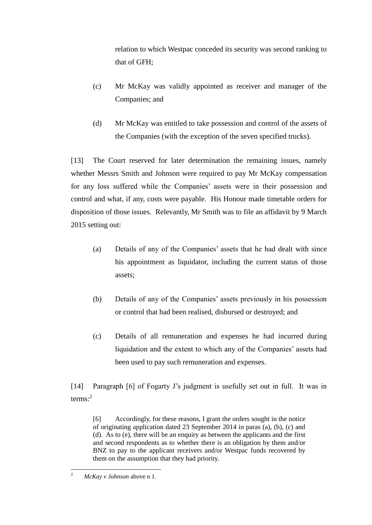relation to which Westpac conceded its security was second ranking to that of GFH;

- (c) Mr McKay was validly appointed as receiver and manager of the Companies; and
- (d) Mr McKay was entitled to take possession and control of the assets of the Companies (with the exception of the seven specified trucks).

[13] The Court reserved for later determination the remaining issues, namely whether Messrs Smith and Johnson were required to pay Mr McKay compensation for any loss suffered while the Companies' assets were in their possession and control and what, if any, costs were payable. His Honour made timetable orders for disposition of those issues. Relevantly, Mr Smith was to file an affidavit by 9 March 2015 setting out:

- (a) Details of any of the Companies' assets that he had dealt with since his appointment as liquidator, including the current status of those assets;
- (b) Details of any of the Companies' assets previously in his possession or control that had been realised, disbursed or destroyed; and
- (c) Details of all remuneration and expenses he had incurred during liquidation and the extent to which any of the Companies' assets had been used to pay such remuneration and expenses.

[14] Paragraph [6] of Fogarty J's judgment is usefully set out in full. It was in  $terms:<sup>2</sup>$ 

[6] Accordingly, for these reasons, I grant the orders sought in the notice of originating application dated 23 September 2014 in paras (a), (b), (c) and (d). As to (e), there will be an enquiry as between the applicants and the first and second respondents as to whether there is an obligation by them and/or BNZ to pay to the applicant receivers and/or Westpac funds recovered by them on the assumption that they had priority.

 $\overline{c}$ <sup>2</sup> *McKay v Johnson* above n 1.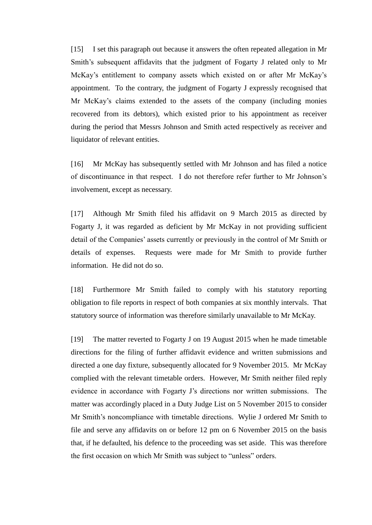[15] I set this paragraph out because it answers the often repeated allegation in Mr Smith's subsequent affidavits that the judgment of Fogarty J related only to Mr McKay's entitlement to company assets which existed on or after Mr McKay's appointment. To the contrary, the judgment of Fogarty J expressly recognised that Mr McKay's claims extended to the assets of the company (including monies recovered from its debtors), which existed prior to his appointment as receiver during the period that Messrs Johnson and Smith acted respectively as receiver and liquidator of relevant entities.

[16] Mr McKay has subsequently settled with Mr Johnson and has filed a notice of discontinuance in that respect. I do not therefore refer further to Mr Johnson's involvement, except as necessary.

[17] Although Mr Smith filed his affidavit on 9 March 2015 as directed by Fogarty J, it was regarded as deficient by Mr McKay in not providing sufficient detail of the Companies' assets currently or previously in the control of Mr Smith or details of expenses. Requests were made for Mr Smith to provide further information. He did not do so.

[18] Furthermore Mr Smith failed to comply with his statutory reporting obligation to file reports in respect of both companies at six monthly intervals. That statutory source of information was therefore similarly unavailable to Mr McKay.

[19] The matter reverted to Fogarty J on 19 August 2015 when he made timetable directions for the filing of further affidavit evidence and written submissions and directed a one day fixture, subsequently allocated for 9 November 2015. Mr McKay complied with the relevant timetable orders. However, Mr Smith neither filed reply evidence in accordance with Fogarty J's directions nor written submissions. The matter was accordingly placed in a Duty Judge List on 5 November 2015 to consider Mr Smith's noncompliance with timetable directions. Wylie J ordered Mr Smith to file and serve any affidavits on or before 12 pm on 6 November 2015 on the basis that, if he defaulted, his defence to the proceeding was set aside. This was therefore the first occasion on which Mr Smith was subject to "unless" orders.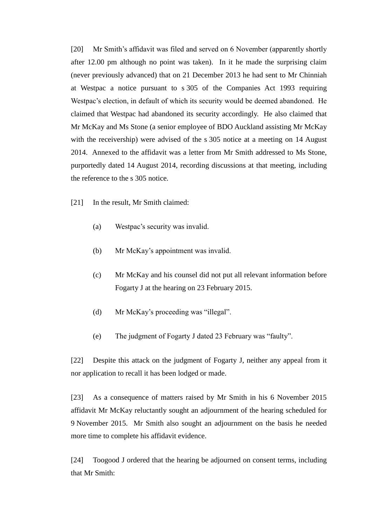[20] Mr Smith's affidavit was filed and served on 6 November (apparently shortly after 12.00 pm although no point was taken). In it he made the surprising claim (never previously advanced) that on 21 December 2013 he had sent to Mr Chinniah at Westpac a notice pursuant to s 305 of the Companies Act 1993 requiring Westpac's election, in default of which its security would be deemed abandoned. He claimed that Westpac had abandoned its security accordingly. He also claimed that Mr McKay and Ms Stone (a senior employee of BDO Auckland assisting Mr McKay with the receivership) were advised of the s 305 notice at a meeting on 14 August 2014. Annexed to the affidavit was a letter from Mr Smith addressed to Ms Stone, purportedly dated 14 August 2014, recording discussions at that meeting, including the reference to the s 305 notice.

- [21] In the result, Mr Smith claimed:
	- (a) Westpac's security was invalid.
	- (b) Mr McKay's appointment was invalid.
	- (c) Mr McKay and his counsel did not put all relevant information before Fogarty J at the hearing on 23 February 2015.
	- (d) Mr McKay's proceeding was "illegal".
	- (e) The judgment of Fogarty J dated 23 February was "faulty".

[22] Despite this attack on the judgment of Fogarty J, neither any appeal from it nor application to recall it has been lodged or made.

[23] As a consequence of matters raised by Mr Smith in his 6 November 2015 affidavit Mr McKay reluctantly sought an adjournment of the hearing scheduled for 9 November 2015. Mr Smith also sought an adjournment on the basis he needed more time to complete his affidavit evidence.

[24] Toogood J ordered that the hearing be adjourned on consent terms, including that Mr Smith: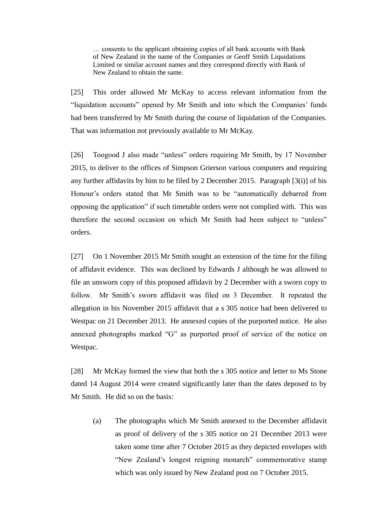… consents to the applicant obtaining copies of all bank accounts with Bank of New Zealand in the name of the Companies or Geoff Smith Liquidations Limited or similar account names and they correspond directly with Bank of New Zealand to obtain the same.

[25] This order allowed Mr McKay to access relevant information from the "liquidation accounts" opened by Mr Smith and into which the Companies' funds had been transferred by Mr Smith during the course of liquidation of the Companies. That was information not previously available to Mr McKay.

[26] Toogood J also made "unless" orders requiring Mr Smith, by 17 November 2015, to deliver to the offices of Simpson Grierson various computers and requiring any further affidavits by him to be filed by 2 December 2015. Paragraph [3(i)] of his Honour's orders stated that Mr Smith was to be "automatically debarred from opposing the application" if such timetable orders were not complied with. This was therefore the second occasion on which Mr Smith had been subject to "unless" orders.

[27] On 1 November 2015 Mr Smith sought an extension of the time for the filing of affidavit evidence. This was declined by Edwards J although he was allowed to file an unsworn copy of this proposed affidavit by 2 December with a sworn copy to follow. Mr Smith's sworn affidavit was filed on 3 December. It repeated the allegation in his November 2015 affidavit that a s 305 notice had been delivered to Westpac on 21 December 2013. He annexed copies of the purported notice. He also annexed photographs marked "G" as purported proof of service of the notice on Westpac.

[28] Mr McKay formed the view that both the s 305 notice and letter to Ms Stone dated 14 August 2014 were created significantly later than the dates deposed to by Mr Smith. He did so on the basis:

(a) The photographs which Mr Smith annexed to the December affidavit as proof of delivery of the s 305 notice on 21 December 2013 were taken some time after 7 October 2015 as they depicted envelopes with "New Zealand's longest reigning monarch" commemorative stamp which was only issued by New Zealand post on 7 October 2015.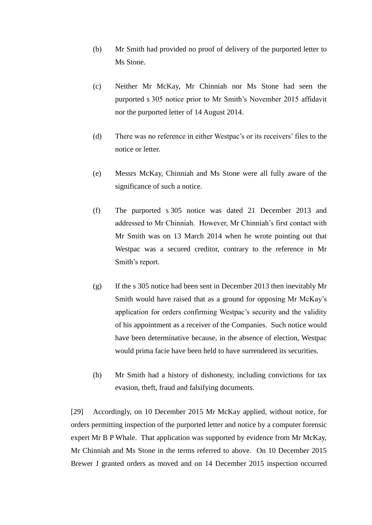- (b) Mr Smith had provided no proof of delivery of the purported letter to Ms Stone.
- (c) Neither Mr McKay, Mr Chinniah nor Ms Stone had seen the purported s 305 notice prior to Mr Smith's November 2015 affidavit nor the purported letter of 14 August 2014.
- (d) There was no reference in either Westpac's or its receivers' files to the notice or letter.
- (e) Messrs McKay, Chinniah and Ms Stone were all fully aware of the significance of such a notice.
- (f) The purported s 305 notice was dated 21 December 2013 and addressed to Mr Chinniah. However, Mr Chinniah's first contact with Mr Smith was on 13 March 2014 when he wrote pointing out that Westpac was a secured creditor, contrary to the reference in Mr Smith's report.
- (g) If the s 305 notice had been sent in December 2013 then inevitably Mr Smith would have raised that as a ground for opposing Mr McKay's application for orders confirming Westpac's security and the validity of his appointment as a receiver of the Companies. Such notice would have been determinative because, in the absence of election, Westpac would prima facie have been held to have surrendered its securities.
- (h) Mr Smith had a history of dishonesty, including convictions for tax evasion, theft, fraud and falsifying documents.

[29] Accordingly, on 10 December 2015 Mr McKay applied, without notice, for orders permitting inspection of the purported letter and notice by a computer forensic expert Mr B P Whale. That application was supported by evidence from Mr McKay, Mr Chinniah and Ms Stone in the terms referred to above. On 10 December 2015 Brewer J granted orders as moved and on 14 December 2015 inspection occurred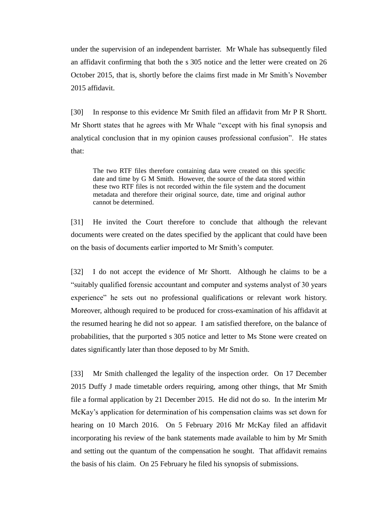under the supervision of an independent barrister. Mr Whale has subsequently filed an affidavit confirming that both the s 305 notice and the letter were created on 26 October 2015, that is, shortly before the claims first made in Mr Smith's November 2015 affidavit.

[30] In response to this evidence Mr Smith filed an affidavit from Mr P R Shortt. Mr Shortt states that he agrees with Mr Whale "except with his final synopsis and analytical conclusion that in my opinion causes professional confusion". He states that:

The two RTF files therefore containing data were created on this specific date and time by G M Smith. However, the source of the data stored within these two RTF files is not recorded within the file system and the document metadata and therefore their original source, date, time and original author cannot be determined.

[31] He invited the Court therefore to conclude that although the relevant documents were created on the dates specified by the applicant that could have been on the basis of documents earlier imported to Mr Smith's computer.

[32] I do not accept the evidence of Mr Shortt. Although he claims to be a "suitably qualified forensic accountant and computer and systems analyst of 30 years experience" he sets out no professional qualifications or relevant work history. Moreover, although required to be produced for cross-examination of his affidavit at the resumed hearing he did not so appear. I am satisfied therefore, on the balance of probabilities, that the purported s 305 notice and letter to Ms Stone were created on dates significantly later than those deposed to by Mr Smith.

[33] Mr Smith challenged the legality of the inspection order. On 17 December 2015 Duffy J made timetable orders requiring, among other things, that Mr Smith file a formal application by 21 December 2015. He did not do so. In the interim Mr McKay's application for determination of his compensation claims was set down for hearing on 10 March 2016. On 5 February 2016 Mr McKay filed an affidavit incorporating his review of the bank statements made available to him by Mr Smith and setting out the quantum of the compensation he sought. That affidavit remains the basis of his claim. On 25 February he filed his synopsis of submissions.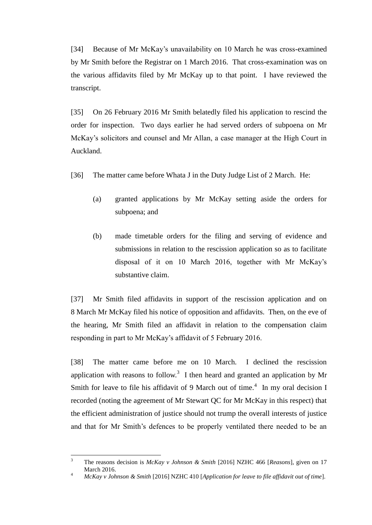[34] Because of Mr McKay's unavailability on 10 March he was cross-examined by Mr Smith before the Registrar on 1 March 2016. That cross-examination was on the various affidavits filed by Mr McKay up to that point. I have reviewed the transcript.

[35] On 26 February 2016 Mr Smith belatedly filed his application to rescind the order for inspection. Two days earlier he had served orders of subpoena on Mr McKay's solicitors and counsel and Mr Allan, a case manager at the High Court in Auckland.

- [36] The matter came before Whata J in the Duty Judge List of 2 March. He:
	- (a) granted applications by Mr McKay setting aside the orders for subpoena; and
	- (b) made timetable orders for the filing and serving of evidence and submissions in relation to the rescission application so as to facilitate disposal of it on 10 March 2016, together with Mr McKay's substantive claim.

[37] Mr Smith filed affidavits in support of the rescission application and on 8 March Mr McKay filed his notice of opposition and affidavits. Then, on the eve of the hearing, Mr Smith filed an affidavit in relation to the compensation claim responding in part to Mr McKay's affidavit of 5 February 2016.

[38] The matter came before me on 10 March. I declined the rescission application with reasons to follow.<sup>3</sup> I then heard and granted an application by Mr Smith for leave to file his affidavit of 9 March out of time.<sup>4</sup> In my oral decision I recorded (noting the agreement of Mr Stewart QC for Mr McKay in this respect) that the efficient administration of justice should not trump the overall interests of justice and that for Mr Smith's defences to be properly ventilated there needed to be an

 $\overline{\mathbf{3}}$ <sup>3</sup> The reasons decision is *McKay v Johnson & Smith* [2016] NZHC 466 [*Reasons*], given on 17 March 2016.

<sup>4</sup> *McKay v Johnson & Smith* [2016] NZHC 410 [*Application for leave to file affidavit out of time*].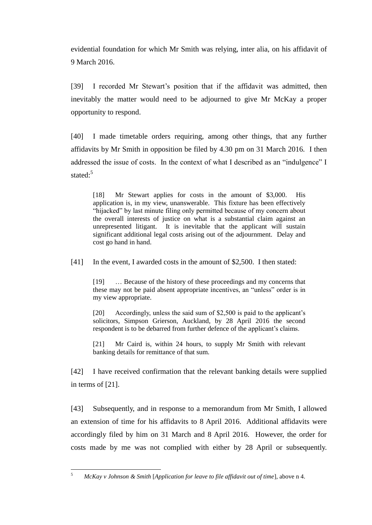evidential foundation for which Mr Smith was relying, inter alia, on his affidavit of 9 March 2016.

[39] I recorded Mr Stewart's position that if the affidavit was admitted, then inevitably the matter would need to be adjourned to give Mr McKay a proper opportunity to respond.

[40] I made timetable orders requiring, among other things, that any further affidavits by Mr Smith in opposition be filed by 4.30 pm on 31 March 2016. I then addressed the issue of costs. In the context of what I described as an "indulgence" I stated:<sup>5</sup>

[18] Mr Stewart applies for costs in the amount of \$3,000. His application is, in my view, unanswerable. This fixture has been effectively "hijacked" by last minute filing only permitted because of my concern about the overall interests of justice on what is a substantial claim against an unrepresented litigant. It is inevitable that the applicant will sustain significant additional legal costs arising out of the adjournment. Delay and cost go hand in hand.

[41] In the event, I awarded costs in the amount of \$2,500. I then stated:

[19] … Because of the history of these proceedings and my concerns that these may not be paid absent appropriate incentives, an "unless" order is in my view appropriate.

[20] Accordingly, unless the said sum of \$2,500 is paid to the applicant's solicitors, Simpson Grierson, Auckland, by 28 April 2016 the second respondent is to be debarred from further defence of the applicant's claims.

[21] Mr Caird is, within 24 hours, to supply Mr Smith with relevant banking details for remittance of that sum.

[42] I have received confirmation that the relevant banking details were supplied in terms of [21].

[43] Subsequently, and in response to a memorandum from Mr Smith, I allowed an extension of time for his affidavits to 8 April 2016. Additional affidavits were accordingly filed by him on 31 March and 8 April 2016. However, the order for costs made by me was not complied with either by 28 April or subsequently.

 $\sqrt{5}$ <sup>5</sup> *McKay v Johnson & Smith* [*Application for leave to file affidavit out of time*], above n 4.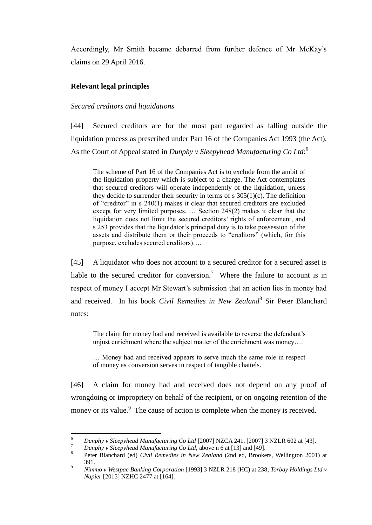Accordingly, Mr Smith became debarred from further defence of Mr McKay's claims on 29 April 2016.

## **Relevant legal principles**

## *Secured creditors and liquidations*

[44] Secured creditors are for the most part regarded as falling outside the liquidation process as prescribed under Part 16 of the Companies Act 1993 (the Act). As the Court of Appeal stated in *Dunphy v Sleepyhead Manufacturing Co Ltd*: 6

The scheme of Part 16 of the Companies Act is to exclude from the ambit of the liquidation property which is subject to a charge. The Act contemplates that secured creditors will operate independently of the liquidation, unless they decide to surrender their security in terms of s  $305(1)(c)$ . The definition of "creditor" in s 240(1) makes it clear that secured creditors are excluded except for very limited purposes, … Section 248(2) makes it clear that the liquidation does not limit the secured creditors' rights of enforcement, and s 253 provides that the liquidator's principal duty is to take possession of the assets and distribute them or their proceeds to "creditors" (which, for this purpose, excludes secured creditors)….

[45] A liquidator who does not account to a secured creditor for a secured asset is liable to the secured creditor for conversion.<sup>7</sup> Where the failure to account is in respect of money I accept Mr Stewart's submission that an action lies in money had and received. In his book *Civil Remedies in New Zealand*<sup>8</sup> Sir Peter Blanchard notes:

The claim for money had and received is available to reverse the defendant's unjust enrichment where the subject matter of the enrichment was money….

… Money had and received appears to serve much the same role in respect of money as conversion serves in respect of tangible chattels.

[46] A claim for money had and received does not depend on any proof of wrongdoing or impropriety on behalf of the recipient, or on ongoing retention of the money or its value.<sup>9</sup> The cause of action is complete when the money is received.

<sup>6</sup> <sup>6</sup> *Dunphy v Sleepyhead Manufacturing Co Ltd* [2007] NZCA 241, [2007] 3 NZLR 602 at [43].

<sup>7</sup> *Dunphy v Sleepyhead Manufacturing Co Ltd,* above n 6 at [13] and [49].

<sup>8</sup> Peter Blanchard (ed) *Civil Remedies in New Zealand* (2nd ed, Brookers, Wellington 2001) at 391.

<sup>9</sup> *Nimmo v Westpac Banking Corporation* [1993] 3 NZLR 218 (HC) at 238; *Torbay Holdings Ltd v Napier* [2015] NZHC 2477 at [164].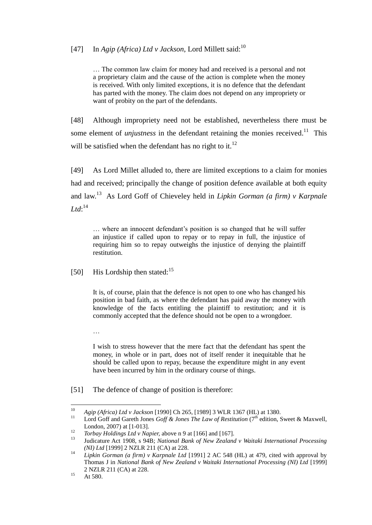# [47] In *Agip (Africa) Ltd v Jackson*, Lord Millett said: 10

… The common law claim for money had and received is a personal and not a proprietary claim and the cause of the action is complete when the money is received. With only limited exceptions, it is no defence that the defendant has parted with the money. The claim does not depend on any impropriety or want of probity on the part of the defendants.

[48] Although impropriety need not be established, nevertheless there must be some element of *unjustness* in the defendant retaining the monies received.<sup>11</sup> This will be satisfied when the defendant has no right to it.<sup>12</sup>

[49] As Lord Millet alluded to, there are limited exceptions to a claim for monies had and received; principally the change of position defence available at both equity and law.<sup>13</sup> As Lord Goff of Chieveley held in *Lipkin Gorman (a firm) v Karpnale*   $Ltd:$ <sup>14</sup>

… where an innocent defendant's position is so changed that he will suffer an injustice if called upon to repay or to repay in full, the injustice of requiring him so to repay outweighs the injustice of denying the plaintiff restitution.

[50] His Lordship then stated:<sup>15</sup>

…

It is, of course, plain that the defence is not open to one who has changed his position in bad faith, as where the defendant has paid away the money with knowledge of the facts entitling the plaintiff to restitution; and it is commonly accepted that the defence should not be open to a wrongdoer.

I wish to stress however that the mere fact that the defendant has spent the money, in whole or in part, does not of itself render it inequitable that he should be called upon to repay, because the expenditure might in any event have been incurred by him in the ordinary course of things.

[51] The defence of change of position is therefore:

<sup>10</sup> <sup>10</sup> *Agip (Africa) Ltd v Jackson* [1990] Ch 265, [1989] 3 WLR 1367 (HL) at 1380.

Lord Goff and Gareth Jones *Goff & Jones The Law of Restitution* (7<sup>th</sup> edition, Sweet & Maxwell, London, 2007) at [1-013].

<sup>12</sup> *Torbay Holdings Ltd v Napier,* above n 9 at [166] and [167].

<sup>13</sup> Judicature Act 1908, s 94B; *National Bank of New Zealand v Waitaki International Processing (NI) Ltd* [1999] 2 NZLR 211 (CA) at 228.

<sup>14</sup> *Lipkin Gorman (a firm) v Karpnale Ltd* [1991] 2 AC 548 (HL) at 479, cited with approval by Thomas J in *National Bank of New Zealand v Waitaki International Processing (NI) Ltd* [1999] 2 NZLR 211 (CA) at 228.

 $15$  At 580.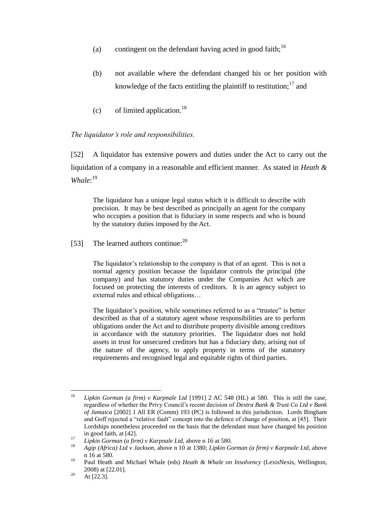- (a) contingent on the defendant having acted in good faith;<sup>16</sup>
- (b) not available where the defendant changed his or her position with knowledge of the facts entitling the plaintiff to restitution;  $17$  and
- $(c)$  of limited application.<sup>18</sup>

## *The liquidator's role and responsibilities.*

[52] A liquidator has extensive powers and duties under the Act to carry out the liquidation of a company in a reasonable and efficient manner. As stated in *Heath & Whale*: 19

The liquidator has a unique legal status which it is difficult to describe with precision. It may be best described as principally an agent for the company who occupies a position that is fiduciary in some respects and who is bound by the statutory duties imposed by the Act.

[53] The learned authors continue: $^{20}$ 

The liquidator's relationship to the company is that of an agent. This is not a normal agency position because the liquidator controls the principal (the company) and has statutory duties under the Companies Act which are focused on protecting the interests of creditors. It is an agency subject to external rules and ethical obligations…

The liquidator's position, while sometimes referred to as a "trustee" is better described as that of a statutory agent whose responsibilities are to perform obligations under the Act and to distribute property divisible among creditors in accordance with the statutory priorities. The liquidator does not hold assets in trust for unsecured creditors but has a fiduciary duty, arising out of the nature of the agency, to apply property in terms of the statutory requirements and recognised legal and equitable rights of third parties.

<sup>16</sup> <sup>16</sup> *Lipkin Gorman (a firm) v Karpnale Ltd* [1991] 2 AC 548 (HL) at 580. This is still the case, regardless of whether the Privy Council's recent decision of *Dextra Bank & Trust Co Ltd v Bank of Jamaica* [2002] 1 All ER (Comm) 193 (PC) is followed in this jurisdiction*.* Lords Bingham and Goff rejected a "relative fault" concept into the defence of change of position, at [45]. Their Lordships nonetheless proceeded on the basis that the defendant must have changed his position in good faith, at [42].

<sup>17</sup> *Lipkin Gorman (a firm) v Karpnale Ltd*, above n 16 at 580.

<sup>18</sup> *Agip (Africa) Ltd v Jackson,* above n 10 at 1380; *Lipkin Gorman (a firm) v Karpnale Ltd*, above n 16 at 580.

<sup>19</sup> Paul Heath and Michael Whale (eds) *Heath & Whale on Insolvency* (LexisNexis, Wellington, 2008) at [22.01].

 $^{20}$  At [22.3].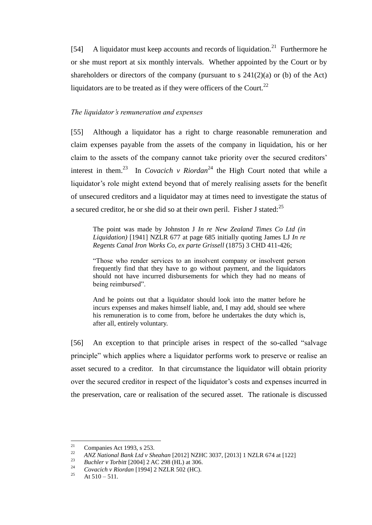[54] A liquidator must keep accounts and records of liquidation.<sup>21</sup> Furthermore he or she must report at six monthly intervals. Whether appointed by the Court or by shareholders or directors of the company (pursuant to s  $241(2)(a)$  or (b) of the Act) liquidators are to be treated as if they were officers of the Court.<sup>22</sup>

### *The liquidator's remuneration and expenses*

[55] Although a liquidator has a right to charge reasonable remuneration and claim expenses payable from the assets of the company in liquidation, his or her claim to the assets of the company cannot take priority over the secured creditors' interest in them.<sup>23</sup> In *Covacich v Riordan*<sup>24</sup> the High Court noted that while a liquidator's role might extend beyond that of merely realising assets for the benefit of unsecured creditors and a liquidator may at times need to investigate the status of a secured creditor, he or she did so at their own peril. Fisher J stated:  $^{25}$ 

The point was made by Johnston J *In re New Zealand Times Co Ltd (in Liquidation)* [1941] NZLR 677 at page 685 initially quoting James LJ *In re Regents Canal Iron Works Co*, *ex parte Grissell* (1875) 3 CHD 411-426;

"Those who render services to an insolvent company or insolvent person frequently find that they have to go without payment, and the liquidators should not have incurred disbursements for which they had no means of being reimbursed".

And he points out that a liquidator should look into the matter before he incurs expenses and makes himself liable, and, I may add, should see where his remuneration is to come from, before he undertakes the duty which is, after all, entirely voluntary.

[56] An exception to that principle arises in respect of the so-called "salvage principle" which applies where a liquidator performs work to preserve or realise an asset secured to a creditor. In that circumstance the liquidator will obtain priority over the secured creditor in respect of the liquidator's costs and expenses incurred in the preservation, care or realisation of the secured asset. The rationale is discussed

<sup>21</sup> <sup>21</sup> Companies Act 1993, s 253.<br><sup>22</sup> ANZ National Bank Ltd.: Sh

<sup>22</sup> *ANZ National Bank Ltd v Sheahan* [2012] NZHC 3037, [2013] 1 NZLR 674 at [122]

<sup>23</sup> *Buchler v Torbitt* [2004] 2 AC 298 (HL) at 306.

<sup>24</sup> *Covacich v Riordan* [1994] 2 NZLR 502 (HC).

At  $510 - 511$ .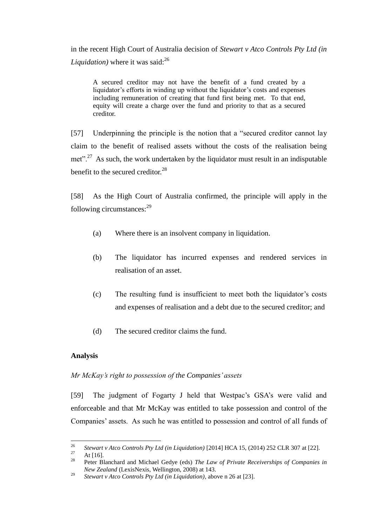in the recent High Court of Australia decision of *Stewart v Atco Controls Pty Ltd (in Liquidation*) where it was said:<sup>26</sup>

A secured creditor may not have the benefit of a fund created by a liquidator's efforts in winding up without the liquidator's costs and expenses including remuneration of creating that fund first being met. To that end, equity will create a charge over the fund and priority to that as a secured creditor.

[57] Underpinning the principle is the notion that a "secured creditor cannot lay claim to the benefit of realised assets without the costs of the realisation being met".<sup>27</sup> As such, the work undertaken by the liquidator must result in an indisputable benefit to the secured creditor. $^{28}$ 

[58] As the High Court of Australia confirmed, the principle will apply in the following circumstances: $^{29}$ 

- (a) Where there is an insolvent company in liquidation.
- (b) The liquidator has incurred expenses and rendered services in realisation of an asset.
- (c) The resulting fund is insufficient to meet both the liquidator's costs and expenses of realisation and a debt due to the secured creditor; and
- (d) The secured creditor claims the fund.

## **Analysis**

## *Mr McKay's right to possession of the Companies' assets*

[59] The judgment of Fogarty J held that Westpac's GSA's were valid and enforceable and that Mr McKay was entitled to take possession and control of the Companies' assets. As such he was entitled to possession and control of all funds of

<sup>26</sup> <sup>26</sup> *Stewart v Atco Controls Pty Ltd (in Liquidation)* [2014] HCA 15, (2014) 252 CLR 307 at [22].

 $\frac{27}{28}$  At [16].

<sup>28</sup> Peter Blanchard and Michael Gedye (eds) *The Law of Private Receiverships of Companies in New Zealand* (LexisNexis, Wellington, 2008) at 143.

<sup>29</sup> *Stewart v Atco Controls Pty Ltd (in Liquidation)*, above n 26 at [23].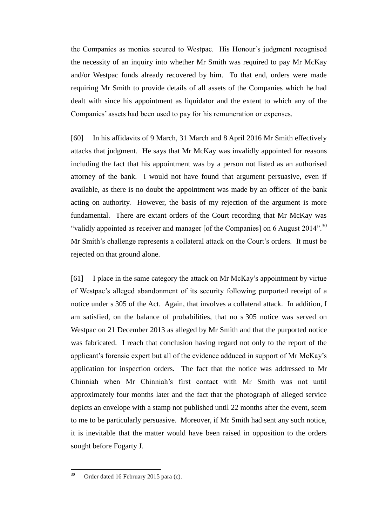the Companies as monies secured to Westpac. His Honour's judgment recognised the necessity of an inquiry into whether Mr Smith was required to pay Mr McKay and/or Westpac funds already recovered by him. To that end, orders were made requiring Mr Smith to provide details of all assets of the Companies which he had dealt with since his appointment as liquidator and the extent to which any of the Companies' assets had been used to pay for his remuneration or expenses.

[60] In his affidavits of 9 March, 31 March and 8 April 2016 Mr Smith effectively attacks that judgment. He says that Mr McKay was invalidly appointed for reasons including the fact that his appointment was by a person not listed as an authorised attorney of the bank. I would not have found that argument persuasive, even if available, as there is no doubt the appointment was made by an officer of the bank acting on authority. However, the basis of my rejection of the argument is more fundamental. There are extant orders of the Court recording that Mr McKay was "validly appointed as receiver and manager [of the Companies] on 6 August 2014".<sup>30</sup> Mr Smith's challenge represents a collateral attack on the Court's orders. It must be rejected on that ground alone.

[61] I place in the same category the attack on Mr McKay's appointment by virtue of Westpac's alleged abandonment of its security following purported receipt of a notice under s 305 of the Act. Again, that involves a collateral attack. In addition, I am satisfied, on the balance of probabilities, that no s 305 notice was served on Westpac on 21 December 2013 as alleged by Mr Smith and that the purported notice was fabricated. I reach that conclusion having regard not only to the report of the applicant's forensic expert but all of the evidence adduced in support of Mr McKay's application for inspection orders. The fact that the notice was addressed to Mr Chinniah when Mr Chinniah's first contact with Mr Smith was not until approximately four months later and the fact that the photograph of alleged service depicts an envelope with a stamp not published until 22 months after the event, seem to me to be particularly persuasive. Moreover, if Mr Smith had sent any such notice, it is inevitable that the matter would have been raised in opposition to the orders sought before Fogarty J.

 $30^{\circ}$ Order dated 16 February 2015 para (c).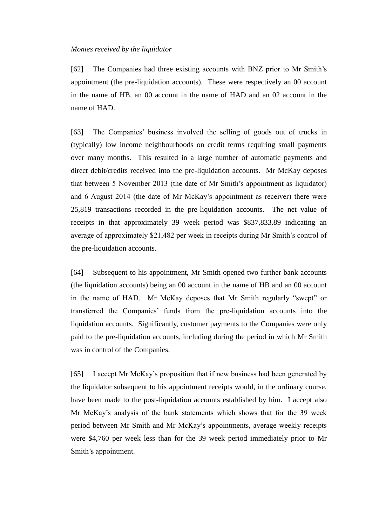#### *Monies received by the liquidator*

[62] The Companies had three existing accounts with BNZ prior to Mr Smith's appointment (the pre-liquidation accounts). These were respectively an 00 account in the name of HB, an 00 account in the name of HAD and an 02 account in the name of HAD.

[63] The Companies' business involved the selling of goods out of trucks in (typically) low income neighbourhoods on credit terms requiring small payments over many months. This resulted in a large number of automatic payments and direct debit/credits received into the pre-liquidation accounts. Mr McKay deposes that between 5 November 2013 (the date of Mr Smith's appointment as liquidator) and 6 August 2014 (the date of Mr McKay's appointment as receiver) there were 25,819 transactions recorded in the pre-liquidation accounts. The net value of receipts in that approximately 39 week period was \$837,833.89 indicating an average of approximately \$21,482 per week in receipts during Mr Smith's control of the pre-liquidation accounts.

[64] Subsequent to his appointment, Mr Smith opened two further bank accounts (the liquidation accounts) being an 00 account in the name of HB and an 00 account in the name of HAD. Mr McKay deposes that Mr Smith regularly "swept" or transferred the Companies' funds from the pre-liquidation accounts into the liquidation accounts. Significantly, customer payments to the Companies were only paid to the pre-liquidation accounts, including during the period in which Mr Smith was in control of the Companies.

[65] I accept Mr McKay's proposition that if new business had been generated by the liquidator subsequent to his appointment receipts would, in the ordinary course, have been made to the post-liquidation accounts established by him. I accept also Mr McKay's analysis of the bank statements which shows that for the 39 week period between Mr Smith and Mr McKay's appointments, average weekly receipts were \$4,760 per week less than for the 39 week period immediately prior to Mr Smith's appointment.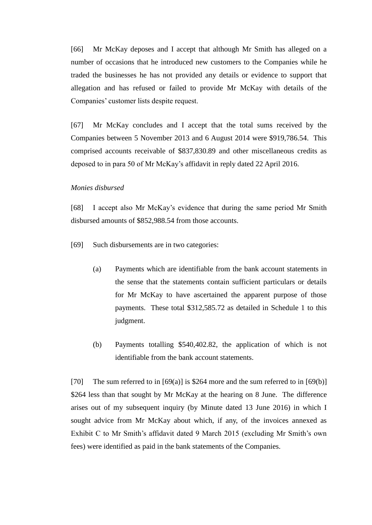[66] Mr McKay deposes and I accept that although Mr Smith has alleged on a number of occasions that he introduced new customers to the Companies while he traded the businesses he has not provided any details or evidence to support that allegation and has refused or failed to provide Mr McKay with details of the Companies' customer lists despite request.

[67] Mr McKay concludes and I accept that the total sums received by the Companies between 5 November 2013 and 6 August 2014 were \$919,786.54. This comprised accounts receivable of \$837,830.89 and other miscellaneous credits as deposed to in para 50 of Mr McKay's affidavit in reply dated 22 April 2016.

## *Monies disbursed*

[68] I accept also Mr McKay's evidence that during the same period Mr Smith disbursed amounts of \$852,988.54 from those accounts.

[69] Such disbursements are in two categories:

- (a) Payments which are identifiable from the bank account statements in the sense that the statements contain sufficient particulars or details for Mr McKay to have ascertained the apparent purpose of those payments. These total \$312,585.72 as detailed in Schedule 1 to this judgment.
- (b) Payments totalling \$540,402.82, the application of which is not identifiable from the bank account statements.

[70] The sum referred to in  $[69(a)]$  is \$264 more and the sum referred to in  $[69(b)]$ \$264 less than that sought by Mr McKay at the hearing on 8 June. The difference arises out of my subsequent inquiry (by Minute dated 13 June 2016) in which I sought advice from Mr McKay about which, if any, of the invoices annexed as Exhibit C to Mr Smith's affidavit dated 9 March 2015 (excluding Mr Smith's own fees) were identified as paid in the bank statements of the Companies.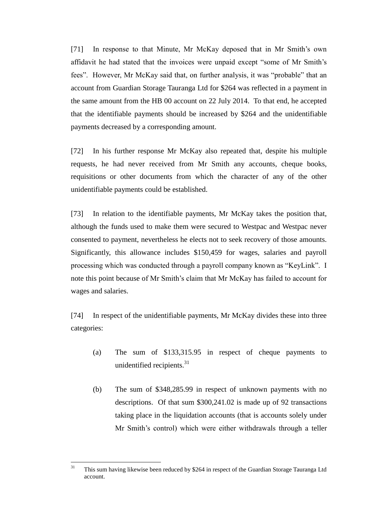[71] In response to that Minute, Mr McKay deposed that in Mr Smith's own affidavit he had stated that the invoices were unpaid except "some of Mr Smith's fees". However, Mr McKay said that, on further analysis, it was "probable" that an account from Guardian Storage Tauranga Ltd for \$264 was reflected in a payment in the same amount from the HB 00 account on 22 July 2014. To that end, he accepted that the identifiable payments should be increased by \$264 and the unidentifiable payments decreased by a corresponding amount.

[72] In his further response Mr McKay also repeated that, despite his multiple requests, he had never received from Mr Smith any accounts, cheque books, requisitions or other documents from which the character of any of the other unidentifiable payments could be established.

[73] In relation to the identifiable payments, Mr McKay takes the position that, although the funds used to make them were secured to Westpac and Westpac never consented to payment, nevertheless he elects not to seek recovery of those amounts. Significantly, this allowance includes \$150,459 for wages, salaries and payroll processing which was conducted through a payroll company known as "KeyLink". I note this point because of Mr Smith's claim that Mr McKay has failed to account for wages and salaries.

[74] In respect of the unidentifiable payments, Mr McKay divides these into three categories:

- (a) The sum of \$133,315.95 in respect of cheque payments to unidentified recipients. $31$
- (b) The sum of \$348,285.99 in respect of unknown payments with no descriptions. Of that sum \$300,241.02 is made up of 92 transactions taking place in the liquidation accounts (that is accounts solely under Mr Smith's control) which were either withdrawals through a teller

 $\overline{31}$ This sum having likewise been reduced by \$264 in respect of the Guardian Storage Tauranga Ltd account.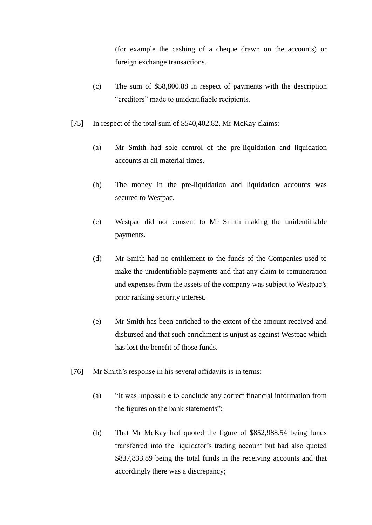(for example the cashing of a cheque drawn on the accounts) or foreign exchange transactions.

- (c) The sum of \$58,800.88 in respect of payments with the description "creditors" made to unidentifiable recipients.
- [75] In respect of the total sum of \$540,402.82, Mr McKay claims:
	- (a) Mr Smith had sole control of the pre-liquidation and liquidation accounts at all material times.
	- (b) The money in the pre-liquidation and liquidation accounts was secured to Westpac.
	- (c) Westpac did not consent to Mr Smith making the unidentifiable payments.
	- (d) Mr Smith had no entitlement to the funds of the Companies used to make the unidentifiable payments and that any claim to remuneration and expenses from the assets of the company was subject to Westpac's prior ranking security interest.
	- (e) Mr Smith has been enriched to the extent of the amount received and disbursed and that such enrichment is unjust as against Westpac which has lost the benefit of those funds.
- [76] Mr Smith's response in his several affidavits is in terms:
	- (a) "It was impossible to conclude any correct financial information from the figures on the bank statements";
	- (b) That Mr McKay had quoted the figure of \$852,988.54 being funds transferred into the liquidator's trading account but had also quoted \$837,833.89 being the total funds in the receiving accounts and that accordingly there was a discrepancy;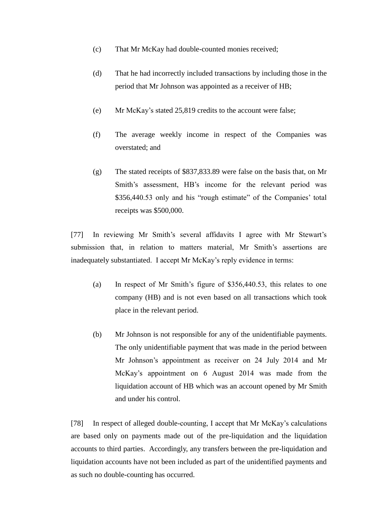- (c) That Mr McKay had double-counted monies received;
- (d) That he had incorrectly included transactions by including those in the period that Mr Johnson was appointed as a receiver of HB;
- (e) Mr McKay's stated 25,819 credits to the account were false;
- (f) The average weekly income in respect of the Companies was overstated; and
- (g) The stated receipts of \$837,833.89 were false on the basis that, on Mr Smith's assessment, HB's income for the relevant period was \$356,440.53 only and his "rough estimate" of the Companies' total receipts was \$500,000.

[77] In reviewing Mr Smith's several affidavits I agree with Mr Stewart's submission that, in relation to matters material, Mr Smith's assertions are inadequately substantiated. I accept Mr McKay's reply evidence in terms:

- (a) In respect of Mr Smith's figure of \$356,440.53, this relates to one company (HB) and is not even based on all transactions which took place in the relevant period.
- (b) Mr Johnson is not responsible for any of the unidentifiable payments. The only unidentifiable payment that was made in the period between Mr Johnson's appointment as receiver on 24 July 2014 and Mr McKay's appointment on 6 August 2014 was made from the liquidation account of HB which was an account opened by Mr Smith and under his control.

[78] In respect of alleged double-counting, I accept that Mr McKay's calculations are based only on payments made out of the pre-liquidation and the liquidation accounts to third parties. Accordingly, any transfers between the pre-liquidation and liquidation accounts have not been included as part of the unidentified payments and as such no double-counting has occurred.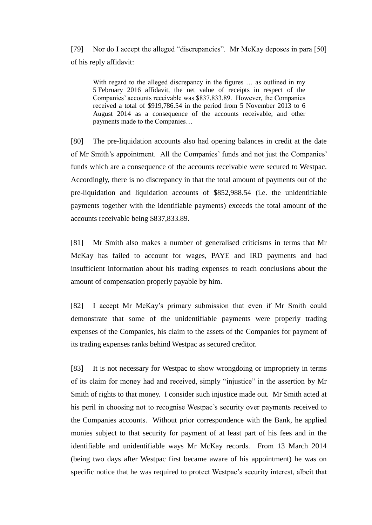[79] Nor do I accept the alleged "discrepancies". Mr McKay deposes in para [50] of his reply affidavit:

With regard to the alleged discrepancy in the figures ... as outlined in my 5 February 2016 affidavit, the net value of receipts in respect of the Companies' accounts receivable was \$837,833.89. However, the Companies received a total of \$919,786.54 in the period from 5 November 2013 to 6 August 2014 as a consequence of the accounts receivable, and other payments made to the Companies…

[80] The pre-liquidation accounts also had opening balances in credit at the date of Mr Smith's appointment. All the Companies' funds and not just the Companies' funds which are a consequence of the accounts receivable were secured to Westpac. Accordingly, there is no discrepancy in that the total amount of payments out of the pre-liquidation and liquidation accounts of \$852,988.54 (i.e. the unidentifiable payments together with the identifiable payments) exceeds the total amount of the accounts receivable being \$837,833.89.

[81] Mr Smith also makes a number of generalised criticisms in terms that Mr McKay has failed to account for wages, PAYE and IRD payments and had insufficient information about his trading expenses to reach conclusions about the amount of compensation properly payable by him.

[82] I accept Mr McKay's primary submission that even if Mr Smith could demonstrate that some of the unidentifiable payments were properly trading expenses of the Companies, his claim to the assets of the Companies for payment of its trading expenses ranks behind Westpac as secured creditor.

[83] It is not necessary for Westpac to show wrongdoing or impropriety in terms of its claim for money had and received, simply "injustice" in the assertion by Mr Smith of rights to that money. I consider such injustice made out. Mr Smith acted at his peril in choosing not to recognise Westpac's security over payments received to the Companies accounts. Without prior correspondence with the Bank, he applied monies subject to that security for payment of at least part of his fees and in the identifiable and unidentifiable ways Mr McKay records. From 13 March 2014 (being two days after Westpac first became aware of his appointment) he was on specific notice that he was required to protect Westpac's security interest, albeit that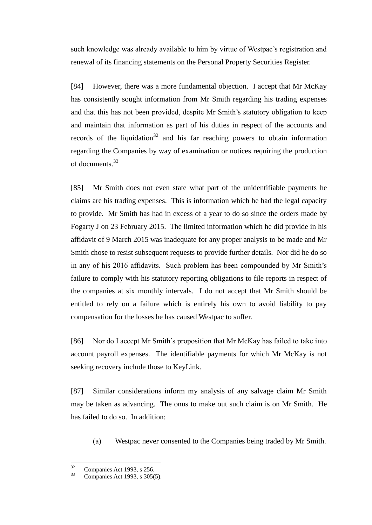such knowledge was already available to him by virtue of Westpac's registration and renewal of its financing statements on the Personal Property Securities Register.

[84] However, there was a more fundamental objection. I accept that Mr McKay has consistently sought information from Mr Smith regarding his trading expenses and that this has not been provided, despite Mr Smith's statutory obligation to keep and maintain that information as part of his duties in respect of the accounts and records of the liquidation<sup>32</sup> and his far reaching powers to obtain information regarding the Companies by way of examination or notices requiring the production of documents.<sup>33</sup>

[85] Mr Smith does not even state what part of the unidentifiable payments he claims are his trading expenses. This is information which he had the legal capacity to provide. Mr Smith has had in excess of a year to do so since the orders made by Fogarty J on 23 February 2015. The limited information which he did provide in his affidavit of 9 March 2015 was inadequate for any proper analysis to be made and Mr Smith chose to resist subsequent requests to provide further details. Nor did he do so in any of his 2016 affidavits. Such problem has been compounded by Mr Smith's failure to comply with his statutory reporting obligations to file reports in respect of the companies at six monthly intervals. I do not accept that Mr Smith should be entitled to rely on a failure which is entirely his own to avoid liability to pay compensation for the losses he has caused Westpac to suffer.

[86] Nor do I accept Mr Smith's proposition that Mr McKay has failed to take into account payroll expenses. The identifiable payments for which Mr McKay is not seeking recovery include those to KeyLink.

[87] Similar considerations inform my analysis of any salvage claim Mr Smith may be taken as advancing. The onus to make out such claim is on Mr Smith. He has failed to do so. In addition:

(a) Westpac never consented to the Companies being traded by Mr Smith.

 $32$  $\frac{32}{33}$  Companies Act 1993, s 256.

<sup>33</sup> Companies Act 1993, s 305(5).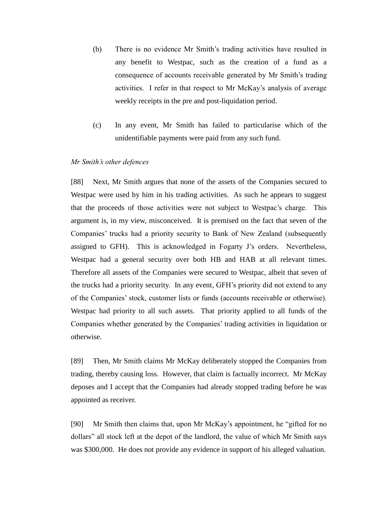- (b) There is no evidence Mr Smith's trading activities have resulted in any benefit to Westpac, such as the creation of a fund as a consequence of accounts receivable generated by Mr Smith's trading activities. I refer in that respect to Mr McKay's analysis of average weekly receipts in the pre and post-liquidation period.
- (c) In any event, Mr Smith has failed to particularise which of the unidentifiable payments were paid from any such fund.

#### *Mr Smith's other defences*

[88] Next, Mr Smith argues that none of the assets of the Companies secured to Westpac were used by him in his trading activities. As such he appears to suggest that the proceeds of those activities were not subject to Westpac's charge. This argument is, in my view, misconceived. It is premised on the fact that seven of the Companies' trucks had a priority security to Bank of New Zealand (subsequently assigned to GFH). This is acknowledged in Fogarty J's orders. Nevertheless, Westpac had a general security over both HB and HAB at all relevant times. Therefore all assets of the Companies were secured to Westpac, albeit that seven of the trucks had a priority security. In any event, GFH's priority did not extend to any of the Companies' stock, customer lists or funds (accounts receivable or otherwise). Westpac had priority to all such assets. That priority applied to all funds of the Companies whether generated by the Companies' trading activities in liquidation or otherwise.

[89] Then, Mr Smith claims Mr McKay deliberately stopped the Companies from trading, thereby causing loss. However, that claim is factually incorrect. Mr McKay deposes and I accept that the Companies had already stopped trading before he was appointed as receiver.

[90] Mr Smith then claims that, upon Mr McKay's appointment, he "gifted for no dollars" all stock left at the depot of the landlord, the value of which Mr Smith says was \$300,000. He does not provide any evidence in support of his alleged valuation.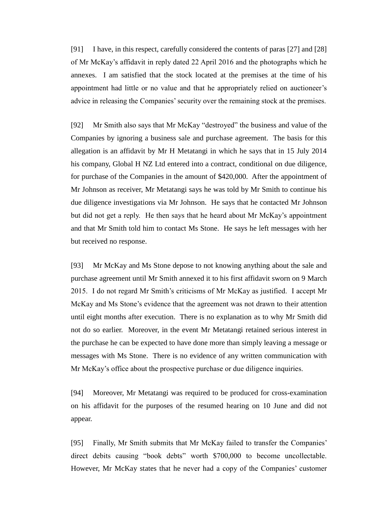[91] I have, in this respect, carefully considered the contents of paras [27] and [28] of Mr McKay's affidavit in reply dated 22 April 2016 and the photographs which he annexes. I am satisfied that the stock located at the premises at the time of his appointment had little or no value and that he appropriately relied on auctioneer's advice in releasing the Companies' security over the remaining stock at the premises.

[92] Mr Smith also says that Mr McKay "destroyed" the business and value of the Companies by ignoring a business sale and purchase agreement. The basis for this allegation is an affidavit by Mr H Metatangi in which he says that in 15 July 2014 his company, Global H NZ Ltd entered into a contract, conditional on due diligence, for purchase of the Companies in the amount of \$420,000. After the appointment of Mr Johnson as receiver, Mr Metatangi says he was told by Mr Smith to continue his due diligence investigations via Mr Johnson. He says that he contacted Mr Johnson but did not get a reply. He then says that he heard about Mr McKay's appointment and that Mr Smith told him to contact Ms Stone. He says he left messages with her but received no response.

[93] Mr McKay and Ms Stone depose to not knowing anything about the sale and purchase agreement until Mr Smith annexed it to his first affidavit sworn on 9 March 2015. I do not regard Mr Smith's criticisms of Mr McKay as justified. I accept Mr McKay and Ms Stone's evidence that the agreement was not drawn to their attention until eight months after execution. There is no explanation as to why Mr Smith did not do so earlier. Moreover, in the event Mr Metatangi retained serious interest in the purchase he can be expected to have done more than simply leaving a message or messages with Ms Stone. There is no evidence of any written communication with Mr McKay's office about the prospective purchase or due diligence inquiries.

[94] Moreover, Mr Metatangi was required to be produced for cross-examination on his affidavit for the purposes of the resumed hearing on 10 June and did not appear.

[95] Finally, Mr Smith submits that Mr McKay failed to transfer the Companies' direct debits causing "book debts" worth \$700,000 to become uncollectable. However, Mr McKay states that he never had a copy of the Companies' customer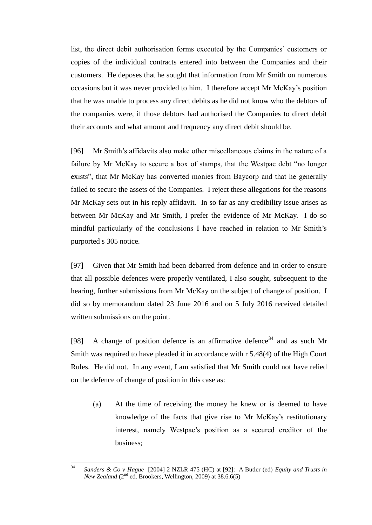list, the direct debit authorisation forms executed by the Companies' customers or copies of the individual contracts entered into between the Companies and their customers. He deposes that he sought that information from Mr Smith on numerous occasions but it was never provided to him. I therefore accept Mr McKay's position that he was unable to process any direct debits as he did not know who the debtors of the companies were, if those debtors had authorised the Companies to direct debit their accounts and what amount and frequency any direct debit should be.

[96] Mr Smith's affidavits also make other miscellaneous claims in the nature of a failure by Mr McKay to secure a box of stamps, that the Westpac debt "no longer exists", that Mr McKay has converted monies from Baycorp and that he generally failed to secure the assets of the Companies. I reject these allegations for the reasons Mr McKay sets out in his reply affidavit. In so far as any credibility issue arises as between Mr McKay and Mr Smith, I prefer the evidence of Mr McKay. I do so mindful particularly of the conclusions I have reached in relation to Mr Smith's purported s 305 notice.

[97] Given that Mr Smith had been debarred from defence and in order to ensure that all possible defences were properly ventilated, I also sought, subsequent to the hearing, further submissions from Mr McKay on the subject of change of position. I did so by memorandum dated 23 June 2016 and on 5 July 2016 received detailed written submissions on the point.

[98] A change of position defence is an affirmative defence  $34$  and as such Mr Smith was required to have pleaded it in accordance with r 5.48(4) of the High Court Rules. He did not. In any event, I am satisfied that Mr Smith could not have relied on the defence of change of position in this case as:

(a) At the time of receiving the money he knew or is deemed to have knowledge of the facts that give rise to Mr McKay's restitutionary interest, namely Westpac's position as a secured creditor of the business;

 $34$ <sup>34</sup> *Sanders & Co v Hague* [2004] 2 NZLR 475 (HC) at [92]: A Butler (ed) *Equity and Trusts in New Zealand* (2<sup>nd</sup> ed. Brookers, Wellington, 2009) at 38.6.6(5)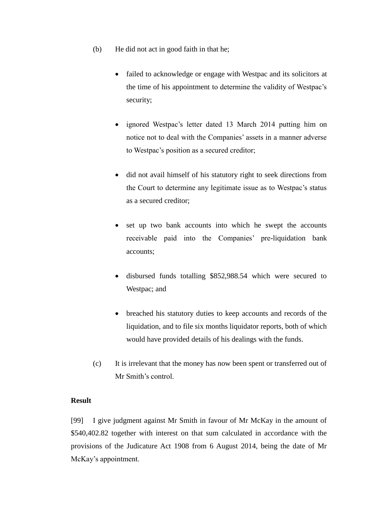- (b) He did not act in good faith in that he;
	- failed to acknowledge or engage with Westpac and its solicitors at the time of his appointment to determine the validity of Westpac's security;
	- ignored Westpac's letter dated 13 March 2014 putting him on notice not to deal with the Companies' assets in a manner adverse to Westpac's position as a secured creditor;
	- did not avail himself of his statutory right to seek directions from the Court to determine any legitimate issue as to Westpac's status as a secured creditor;
	- set up two bank accounts into which he swept the accounts receivable paid into the Companies' pre-liquidation bank accounts;
	- disbursed funds totalling \$852,988.54 which were secured to Westpac; and
	- breached his statutory duties to keep accounts and records of the liquidation, and to file six months liquidator reports, both of which would have provided details of his dealings with the funds.
- (c) It is irrelevant that the money has now been spent or transferred out of Mr Smith's control.

# **Result**

[99] I give judgment against Mr Smith in favour of Mr McKay in the amount of \$540,402.82 together with interest on that sum calculated in accordance with the provisions of the Judicature Act 1908 from 6 August 2014, being the date of Mr McKay's appointment.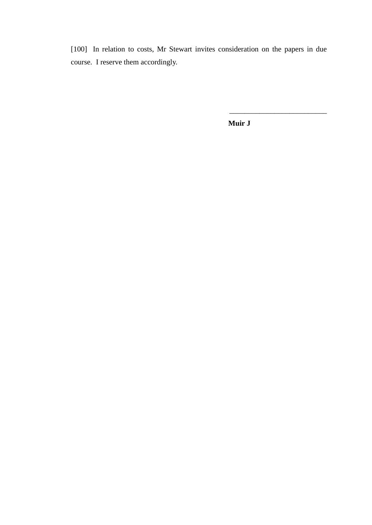[100] In relation to costs, Mr Stewart invites consideration on the papers in due course. I reserve them accordingly.

**Muir J**

\_\_\_\_\_\_\_\_\_\_\_\_\_\_\_\_\_\_\_\_\_\_\_\_\_\_